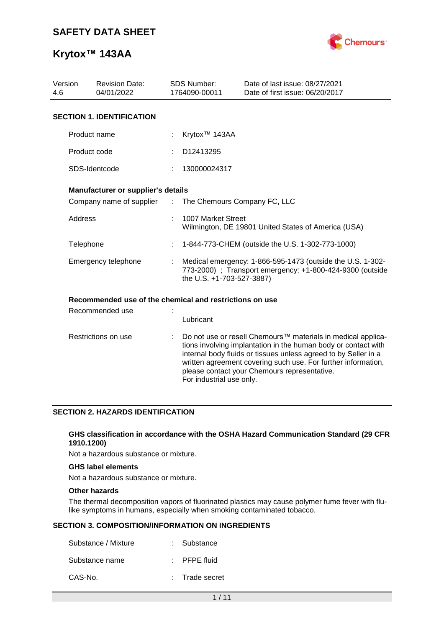

| Version<br>4.6      | <b>Revision Date:</b><br><b>SDS Number:</b><br>04/01/2022<br>1764090-00011 |  |                                                                                                                                                      | Date of last issue: 08/27/2021<br>Date of first issue: 06/20/2017                                                                                                                                                                                                                                                  |  |  |  |
|---------------------|----------------------------------------------------------------------------|--|------------------------------------------------------------------------------------------------------------------------------------------------------|--------------------------------------------------------------------------------------------------------------------------------------------------------------------------------------------------------------------------------------------------------------------------------------------------------------------|--|--|--|
|                     | <b>SECTION 1. IDENTIFICATION</b>                                           |  |                                                                                                                                                      |                                                                                                                                                                                                                                                                                                                    |  |  |  |
|                     | Product name                                                               |  | Krytox <sup>™</sup> 143AA                                                                                                                            |                                                                                                                                                                                                                                                                                                                    |  |  |  |
|                     | Product code                                                               |  | D12413295                                                                                                                                            |                                                                                                                                                                                                                                                                                                                    |  |  |  |
|                     | SDS-Identcode                                                              |  | 130000024317                                                                                                                                         |                                                                                                                                                                                                                                                                                                                    |  |  |  |
|                     | Manufacturer or supplier's details                                         |  |                                                                                                                                                      |                                                                                                                                                                                                                                                                                                                    |  |  |  |
|                     | Company name of supplier                                                   |  | The Chemours Company FC, LLC<br>$\mathbb{R}^{\mathbb{Z}}$                                                                                            |                                                                                                                                                                                                                                                                                                                    |  |  |  |
|                     | Address                                                                    |  | 1007 Market Street<br>Wilmington, DE 19801 United States of America (USA)                                                                            |                                                                                                                                                                                                                                                                                                                    |  |  |  |
|                     | Telephone                                                                  |  | 1-844-773-CHEM (outside the U.S. 1-302-773-1000)                                                                                                     |                                                                                                                                                                                                                                                                                                                    |  |  |  |
|                     | Emergency telephone                                                        |  | Medical emergency: 1-866-595-1473 (outside the U.S. 1-302-<br>773-2000) ; Transport emergency: +1-800-424-9300 (outside<br>the U.S. +1-703-527-3887) |                                                                                                                                                                                                                                                                                                                    |  |  |  |
|                     | Recommended use of the chemical and restrictions on use                    |  |                                                                                                                                                      |                                                                                                                                                                                                                                                                                                                    |  |  |  |
|                     | Recommended use                                                            |  | Lubricant                                                                                                                                            |                                                                                                                                                                                                                                                                                                                    |  |  |  |
| Restrictions on use |                                                                            |  | For industrial use only.                                                                                                                             | Do not use or resell Chemours™ materials in medical applica-<br>tions involving implantation in the human body or contact with<br>internal body fluids or tissues unless agreed to by Seller in a<br>written agreement covering such use. For further information,<br>please contact your Chemours representative. |  |  |  |

## **SECTION 2. HAZARDS IDENTIFICATION**

#### **GHS classification in accordance with the OSHA Hazard Communication Standard (29 CFR 1910.1200)**

Not a hazardous substance or mixture.

## **GHS label elements**

Not a hazardous substance or mixture.

## **Other hazards**

The thermal decomposition vapors of fluorinated plastics may cause polymer fume fever with flulike symptoms in humans, especially when smoking contaminated tobacco.

#### **SECTION 3. COMPOSITION/INFORMATION ON INGREDIENTS**

| Substance / Mixture | : Substance             |
|---------------------|-------------------------|
| Substance name      | $\therefore$ PFPE fluid |
| CAS-No.             | : Trade secret          |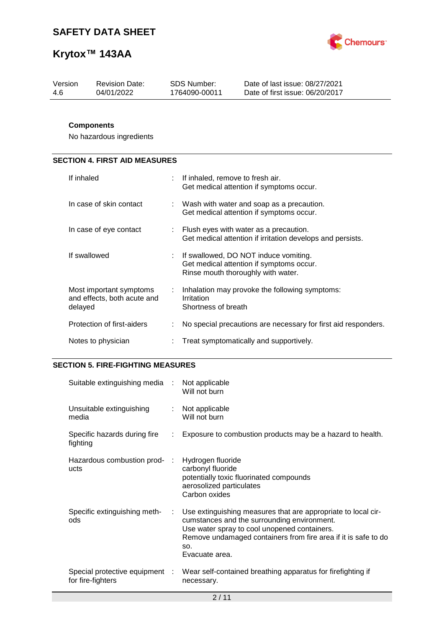

| Version | <b>Revision Date:</b> | SDS Number:   | Date of last issue: 08/27/2021  |
|---------|-----------------------|---------------|---------------------------------|
| -4.6    | 04/01/2022            | 1764090-00011 | Date of first issue: 06/20/2017 |
|         |                       |               |                                 |

## **Components**

No hazardous ingredients

# **SECTION 4. FIRST AID MEASURES**

| If inhaled                                                        | $\therefore$ If inhaled, remove to fresh air.<br>Get medical attention if symptoms occur.                                 |
|-------------------------------------------------------------------|---------------------------------------------------------------------------------------------------------------------------|
| In case of skin contact                                           | $\therefore$ Wash with water and soap as a precaution.<br>Get medical attention if symptoms occur.                        |
| In case of eye contact                                            | $\therefore$ Flush eyes with water as a precaution.<br>Get medical attention if irritation develops and persists.         |
| If swallowed                                                      | : If swallowed, DO NOT induce vomiting.<br>Get medical attention if symptoms occur.<br>Rinse mouth thoroughly with water. |
| Most important symptoms<br>and effects, both acute and<br>delayed | Inhalation may provoke the following symptoms:<br>Irritation<br>Shortness of breath                                       |
| Protection of first-aiders                                        | No special precautions are necessary for first aid responders.                                                            |
| Notes to physician                                                | Treat symptomatically and supportively.                                                                                   |

## **SECTION 5. FIRE-FIGHTING MEASURES**

| Suitable extinguishing media : Not applicable       |               | Will not burn                                                                                                                                                                                                                                           |
|-----------------------------------------------------|---------------|---------------------------------------------------------------------------------------------------------------------------------------------------------------------------------------------------------------------------------------------------------|
| Unsuitable extinguishing<br>media                   |               | : Not applicable<br>Will not burn                                                                                                                                                                                                                       |
| Specific hazards during fire<br>fighting            | $\mathcal{L}$ | Exposure to combustion products may be a hazard to health.                                                                                                                                                                                              |
| Hazardous combustion prod- :<br>ucts                |               | Hydrogen fluoride<br>carbonyl fluoride<br>potentially toxic fluorinated compounds<br>aerosolized particulates<br>Carbon oxides                                                                                                                          |
| Specific extinguishing meth-<br>ods                 | ÷             | Use extinguishing measures that are appropriate to local cir-<br>cumstances and the surrounding environment.<br>Use water spray to cool unopened containers.<br>Remove undamaged containers from fire area if it is safe to do<br>SO.<br>Evacuate area. |
| Special protective equipment :<br>for fire-fighters |               | Wear self-contained breathing apparatus for firefighting if<br>necessary.                                                                                                                                                                               |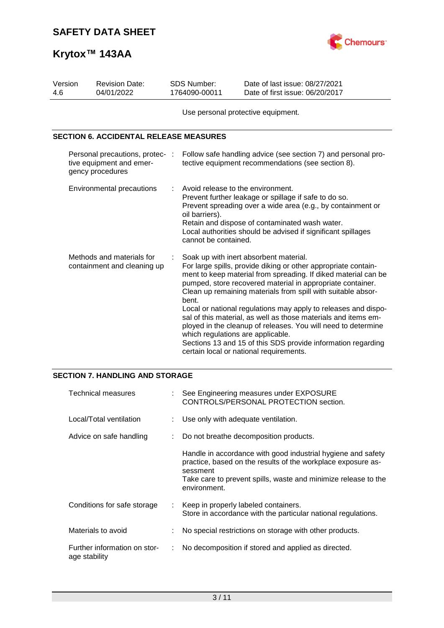

| Version<br>4.6                                                                  | <b>Revision Date:</b><br><b>SDS Number:</b><br>04/01/2022<br>1764090-00011 |                | Date of last issue: 08/27/2021<br>Date of first issue: 06/20/2017                                                                                                                                                                                                                                                                                                                                                                                                                                                                                                                                                                                             |  |  |
|---------------------------------------------------------------------------------|----------------------------------------------------------------------------|----------------|---------------------------------------------------------------------------------------------------------------------------------------------------------------------------------------------------------------------------------------------------------------------------------------------------------------------------------------------------------------------------------------------------------------------------------------------------------------------------------------------------------------------------------------------------------------------------------------------------------------------------------------------------------------|--|--|
|                                                                                 |                                                                            |                | Use personal protective equipment.                                                                                                                                                                                                                                                                                                                                                                                                                                                                                                                                                                                                                            |  |  |
|                                                                                 | <b>SECTION 6. ACCIDENTAL RELEASE MEASURES</b>                              |                |                                                                                                                                                                                                                                                                                                                                                                                                                                                                                                                                                                                                                                                               |  |  |
| Personal precautions, protec- :<br>tive equipment and emer-<br>gency procedures |                                                                            |                | Follow safe handling advice (see section 7) and personal pro-<br>tective equipment recommendations (see section 8).                                                                                                                                                                                                                                                                                                                                                                                                                                                                                                                                           |  |  |
|                                                                                 | Environmental precautions                                                  | oil barriers). | Avoid release to the environment.<br>Prevent further leakage or spillage if safe to do so.<br>Prevent spreading over a wide area (e.g., by containment or<br>Retain and dispose of contaminated wash water.<br>Local authorities should be advised if significant spillages<br>cannot be contained.                                                                                                                                                                                                                                                                                                                                                           |  |  |
| Methods and materials for<br>containment and cleaning up                        |                                                                            | bent.          | Soak up with inert absorbent material.<br>For large spills, provide diking or other appropriate contain-<br>ment to keep material from spreading. If diked material can be<br>pumped, store recovered material in appropriate container.<br>Clean up remaining materials from spill with suitable absor-<br>Local or national regulations may apply to releases and dispo-<br>sal of this material, as well as those materials and items em-<br>ployed in the cleanup of releases. You will need to determine<br>which regulations are applicable.<br>Sections 13 and 15 of this SDS provide information regarding<br>certain local or national requirements. |  |  |

### **SECTION 7. HANDLING AND STORAGE**

| Technical measures                            | See Engineering measures under EXPOSURE<br>CONTROLS/PERSONAL PROTECTION section.                                                                                                                                           |
|-----------------------------------------------|----------------------------------------------------------------------------------------------------------------------------------------------------------------------------------------------------------------------------|
| Local/Total ventilation                       | : Use only with adequate ventilation.                                                                                                                                                                                      |
| Advice on safe handling                       | Do not breathe decomposition products.                                                                                                                                                                                     |
|                                               | Handle in accordance with good industrial hygiene and safety<br>practice, based on the results of the workplace exposure as-<br>sessment<br>Take care to prevent spills, waste and minimize release to the<br>environment. |
| Conditions for safe storage                   | Keep in properly labeled containers.<br>Store in accordance with the particular national regulations.                                                                                                                      |
| Materials to avoid                            | No special restrictions on storage with other products.                                                                                                                                                                    |
| Further information on stor-<br>age stability | No decomposition if stored and applied as directed.                                                                                                                                                                        |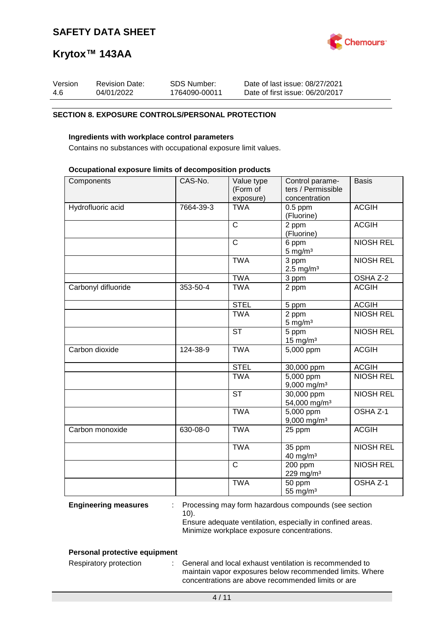

| Version | <b>Revision Date:</b> | SDS Number:   | Date of last issue: 08/27/2021  |
|---------|-----------------------|---------------|---------------------------------|
| -4.6    | 04/01/2022            | 1764090-00011 | Date of first issue: 06/20/2017 |

#### **SECTION 8. EXPOSURE CONTROLS/PERSONAL PROTECTION**

#### **Ingredients with workplace control parameters**

Contains no substances with occupational exposure limit values.

#### **Occupational exposure limits of decomposition products**

| Components          | CAS-No.   | Value type<br>(Form of  | Control parame-<br>ters / Permissible             | <b>Basis</b>     |
|---------------------|-----------|-------------------------|---------------------------------------------------|------------------|
|                     |           | exposure)               | concentration                                     |                  |
| Hydrofluoric acid   | 7664-39-3 | <b>TWA</b>              | $0.5$ ppm<br>(Fluorine)                           | <b>ACGIH</b>     |
|                     |           | $\mathsf{C}$            | 2 ppm<br>(Fluorine)                               | <b>ACGIH</b>     |
|                     |           | $\overline{\mathrm{c}}$ | 6 ppm<br>$5$ mg/m <sup>3</sup>                    | <b>NIOSH REL</b> |
|                     |           | <b>TWA</b>              | 3 ppm<br>$2.5$ mg/m <sup>3</sup>                  | <b>NIOSH REL</b> |
|                     |           | <b>TWA</b>              | 3 ppm                                             | OSHA Z-2         |
| Carbonyl difluoride | 353-50-4  | <b>TWA</b>              | 2 ppm                                             | <b>ACGIH</b>     |
|                     |           | <b>STEL</b>             | 5 ppm                                             | <b>ACGIH</b>     |
|                     |           | <b>TWA</b>              | 2 ppm<br>$5 \text{ mg/m}^3$                       | <b>NIOSH REL</b> |
|                     |           | <b>ST</b>               | 5 ppm<br>15 mg/m $3$                              | <b>NIOSH REL</b> |
| Carbon dioxide      | 124-38-9  | <b>TWA</b>              | 5,000 ppm                                         | <b>ACGIH</b>     |
|                     |           | <b>STEL</b>             | 30,000 ppm                                        | <b>ACGIH</b>     |
|                     |           | <b>TWA</b>              | $\overline{5,000}$ ppm<br>9,000 mg/m <sup>3</sup> | <b>NIOSH REL</b> |
|                     |           | <b>ST</b>               | 30,000 ppm<br>54,000 mg/m <sup>3</sup>            | <b>NIOSH REL</b> |
|                     |           | <b>TWA</b>              | 5,000 ppm<br>$9,000$ mg/m <sup>3</sup>            | OSHA Z-1         |
| Carbon monoxide     | 630-08-0  | <b>TWA</b>              | 25 ppm                                            | <b>ACGIH</b>     |
|                     |           | <b>TWA</b>              | 35 ppm<br>$40$ mg/m <sup>3</sup>                  | <b>NIOSH REL</b> |
|                     |           | $\overline{\text{c}}$   | 200 ppm<br>229 mg/m <sup>3</sup>                  | <b>NIOSH REL</b> |
|                     |           | <b>TWA</b>              | 50 ppm<br>55 mg/m $3$                             | OSHA Z-1         |

**Engineering measures** : Processing may form hazardous compounds (see section 10).

Ensure adequate ventilation, especially in confined areas. Minimize workplace exposure concentrations.

#### **Personal protective equipment**

Respiratory protection : General and local exhaust ventilation is recommended to maintain vapor exposures below recommended limits. Where concentrations are above recommended limits or are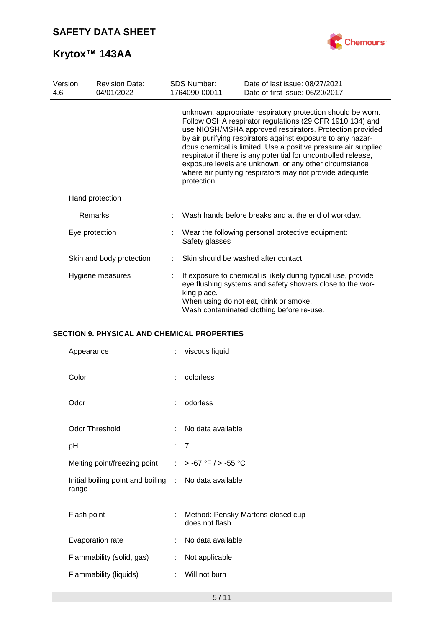

| Version<br>4.6 | <b>Revision Date:</b><br>04/01/2022 | <b>SDS Number:</b><br>1764090-00011 | Date of last issue: 08/27/2021<br>Date of first issue: 06/20/2017                                                                                                                                                                                                                                                                                                                                                                                                                                            |
|----------------|-------------------------------------|-------------------------------------|--------------------------------------------------------------------------------------------------------------------------------------------------------------------------------------------------------------------------------------------------------------------------------------------------------------------------------------------------------------------------------------------------------------------------------------------------------------------------------------------------------------|
|                |                                     | protection.                         | unknown, appropriate respiratory protection should be worn.<br>Follow OSHA respirator regulations (29 CFR 1910.134) and<br>use NIOSH/MSHA approved respirators. Protection provided<br>by air purifying respirators against exposure to any hazar-<br>dous chemical is limited. Use a positive pressure air supplied<br>respirator if there is any potential for uncontrolled release,<br>exposure levels are unknown, or any other circumstance<br>where air purifying respirators may not provide adequate |
|                | Hand protection                     |                                     |                                                                                                                                                                                                                                                                                                                                                                                                                                                                                                              |
|                | Remarks                             |                                     | Wash hands before breaks and at the end of workday.                                                                                                                                                                                                                                                                                                                                                                                                                                                          |
|                | Eye protection                      | Safety glasses                      | Wear the following personal protective equipment:                                                                                                                                                                                                                                                                                                                                                                                                                                                            |
|                | Skin and body protection            |                                     | Skin should be washed after contact.                                                                                                                                                                                                                                                                                                                                                                                                                                                                         |
|                | Hygiene measures                    | king place.                         | If exposure to chemical is likely during typical use, provide<br>eye flushing systems and safety showers close to the wor-<br>When using do not eat, drink or smoke.<br>Wash contaminated clothing before re-use.                                                                                                                                                                                                                                                                                            |

## **SECTION 9. PHYSICAL AND CHEMICAL PROPERTIES**

| Appearance                                                     | ÷  | viscous liquid                                      |
|----------------------------------------------------------------|----|-----------------------------------------------------|
| Color                                                          | ÷. | colorless                                           |
| Odor                                                           | ÷  | odorless                                            |
| <b>Odor Threshold</b>                                          |    | No data available                                   |
| рH                                                             |    | : 7                                                 |
| Melting point/freezing point                                   |    | : > -67 °F / > -55 °C                               |
| Initial boiling point and boiling : No data available<br>range |    |                                                     |
| Flash point                                                    | ÷  | Method: Pensky-Martens closed cup<br>does not flash |
| Evaporation rate                                               | t. | No data available                                   |
| Flammability (solid, gas)                                      | ÷  | Not applicable                                      |
| Flammability (liquids)                                         | t. | Will not burn                                       |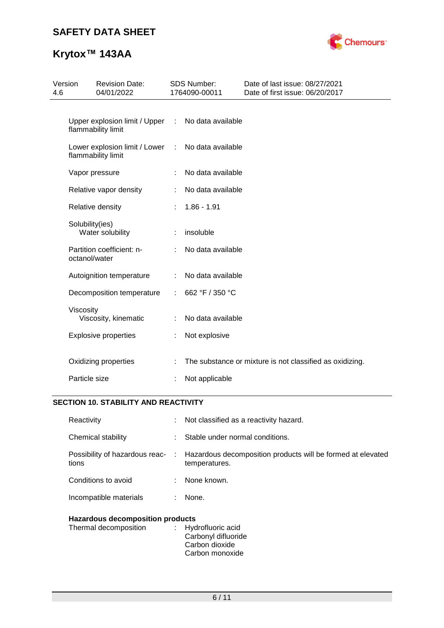# **SAFETY DATA SHEET**



# **Krytox™ 143AA**

| 4.6 | Version         | <b>Revision Date:</b><br>04/01/2022                 |   | <b>SDS Number:</b><br>1764090-00011 | Date of last issue: 08/27/2021<br>Date of first issue: 06/20/2017 |
|-----|-----------------|-----------------------------------------------------|---|-------------------------------------|-------------------------------------------------------------------|
|     |                 | Upper explosion limit / Upper<br>flammability limit | ÷ | No data available                   |                                                                   |
|     |                 | Lower explosion limit / Lower<br>flammability limit | ÷ | No data available                   |                                                                   |
|     |                 | Vapor pressure                                      | ÷ | No data available                   |                                                                   |
|     |                 | Relative vapor density                              |   | No data available                   |                                                                   |
|     |                 | Relative density                                    | ÷ | $1.86 - 1.91$                       |                                                                   |
|     | Solubility(ies) | Water solubility                                    |   | insoluble                           |                                                                   |
|     | octanol/water   | Partition coefficient: n-                           |   | No data available                   |                                                                   |
|     |                 | Autoignition temperature                            |   | No data available                   |                                                                   |
|     |                 | Decomposition temperature                           | ÷ | 662 °F / 350 °C                     |                                                                   |
|     | Viscosity       | Viscosity, kinematic                                |   | No data available                   |                                                                   |
|     |                 | <b>Explosive properties</b>                         | t | Not explosive                       |                                                                   |
|     | Particle size   | Oxidizing properties                                |   | Not applicable                      | The substance or mixture is not classified as oxidizing.          |
|     |                 |                                                     |   |                                     |                                                                   |

## **SECTION 10. STABILITY AND REACTIVITY**

| Reactivity                              |    | : Not classified as a reactivity hazard.                                                                      |  |
|-----------------------------------------|----|---------------------------------------------------------------------------------------------------------------|--|
| Chemical stability                      |    | Stable under normal conditions.                                                                               |  |
| tions                                   |    | Possibility of hazardous reac- : Hazardous decomposition products will be formed at elevated<br>temperatures. |  |
| Conditions to avoid                     |    | : None known.                                                                                                 |  |
| Incompatible materials                  | ÷. | None.                                                                                                         |  |
| <b>Hazardous decomposition products</b> |    |                                                                                                               |  |

| Thermal decomposition | : Hydrofluoric acid |
|-----------------------|---------------------|
|                       | Carbonyl difluoride |
|                       | Carbon dioxide      |
|                       | Carbon monoxide     |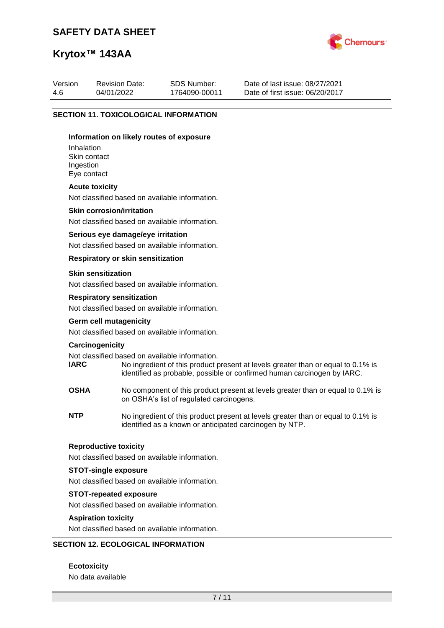# **SAFETY DATA SHEET**



# **Krytox™ 143AA**

| Version | <b>Revision Date:</b> | SDS Number:   | Date of last issue: 08/27/2021  |
|---------|-----------------------|---------------|---------------------------------|
| 4.6     | 04/01/2022            | 1764090-00011 | Date of first issue: 06/20/2017 |
|         |                       |               |                                 |

#### **SECTION 11. TOXICOLOGICAL INFORMATION**

#### **Information on likely routes of exposure**

Inhalation Skin contact Ingestion Eye contact

#### **Acute toxicity**

Not classified based on available information.

#### **Skin corrosion/irritation**

Not classified based on available information.

#### **Serious eye damage/eye irritation**

Not classified based on available information.

#### **Respiratory or skin sensitization**

#### **Skin sensitization**

Not classified based on available information.

#### **Respiratory sensitization**

Not classified based on available information.

#### **Germ cell mutagenicity**

Not classified based on available information.

#### **Carcinogenicity**

Not classified based on available information.<br> **IARC** No ingredient of this product to

- No ingredient of this product present at levels greater than or equal to 0.1% is identified as probable, possible or confirmed human carcinogen by IARC.
- **OSHA** No component of this product present at levels greater than or equal to 0.1% is on OSHA's list of regulated carcinogens.
- **NTP** No ingredient of this product present at levels greater than or equal to 0.1% is identified as a known or anticipated carcinogen by NTP.

#### **Reproductive toxicity**

Not classified based on available information.

#### **STOT-single exposure**

Not classified based on available information.

#### **STOT-repeated exposure**

Not classified based on available information.

#### **Aspiration toxicity**

Not classified based on available information.

#### **SECTION 12. ECOLOGICAL INFORMATION**

#### **Ecotoxicity**

No data available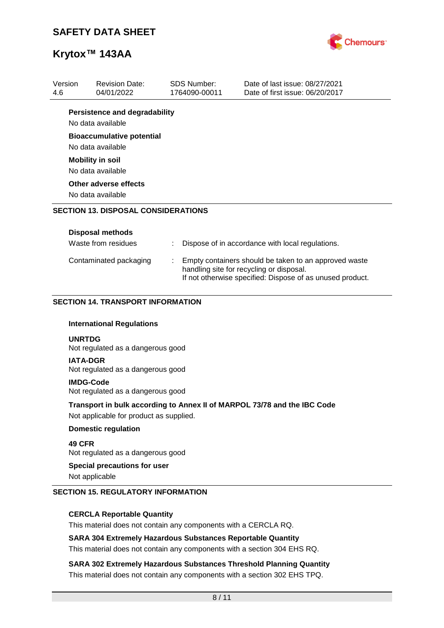

| Version       | <b>Revision Date:</b>                                     | <b>SDS Number:</b> | Date of last issue: 08/27/2021                                                                        |
|---------------|-----------------------------------------------------------|--------------------|-------------------------------------------------------------------------------------------------------|
| 4.6           | 04/01/2022                                                | 1764090-00011      | Date of first issue: 06/20/2017                                                                       |
|               | <b>Persistence and degradability</b><br>No data available |                    |                                                                                                       |
|               | <b>Bioaccumulative potential</b><br>No data available     |                    |                                                                                                       |
|               | <b>Mobility in soil</b><br>No data available              |                    |                                                                                                       |
|               | Other adverse effects<br>No data available                |                    |                                                                                                       |
|               | <b>SECTION 13. DISPOSAL CONSIDERATIONS</b>                |                    |                                                                                                       |
|               | <b>Disposal methods</b>                                   |                    |                                                                                                       |
|               | Waste from residues                                       |                    | Dispose of in accordance with local regulations.                                                      |
|               | Contaminated packaging                                    |                    | Empty containers should be taken to an approved waste                                                 |
|               |                                                           |                    | handling site for recycling or disposal.<br>If not otherwise specified: Dispose of as unused product. |
|               | <b>SECTION 14. TRANSPORT INFORMATION</b>                  |                    |                                                                                                       |
|               | <b>International Regulations</b>                          |                    |                                                                                                       |
| <b>UNRTDG</b> | Not regulated as a dangerous good                         |                    |                                                                                                       |
|               | <b>IATA-DGR</b><br>Not regulated as a dangerous good      |                    |                                                                                                       |
|               | <b>IMDG-Code</b><br>Not regulated as a dangerous good     |                    |                                                                                                       |
|               | Not applicable for product as supplied.                   |                    | Transport in bulk according to Annex II of MARPOL 73/78 and the IBC Code                              |
|               | <b>Domestic regulation</b>                                |                    |                                                                                                       |
| 49 CFR        | Not regulated as a dangerous good                         |                    |                                                                                                       |

## **CERCLA Reportable Quantity**

This material does not contain any components with a CERCLA RQ.

### **SARA 304 Extremely Hazardous Substances Reportable Quantity**

This material does not contain any components with a section 304 EHS RQ.

**SARA 302 Extremely Hazardous Substances Threshold Planning Quantity** This material does not contain any components with a section 302 EHS TPQ.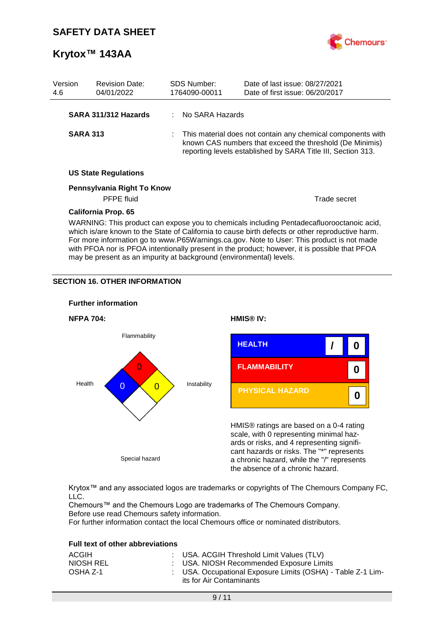

| Version<br>4.6  | <b>Revision Date:</b><br>04/01/2022 | SDS Number:<br>1764090-00011 | Date of last issue: 08/27/2021<br>Date of first issue: 06/20/2017                                                                                                                                                                                                                                                                                                                           |
|-----------------|-------------------------------------|------------------------------|---------------------------------------------------------------------------------------------------------------------------------------------------------------------------------------------------------------------------------------------------------------------------------------------------------------------------------------------------------------------------------------------|
|                 | SARA 311/312 Hazards                | : No SARA Hazards            |                                                                                                                                                                                                                                                                                                                                                                                             |
| <b>SARA 313</b> |                                     |                              | This material does not contain any chemical components with<br>known CAS numbers that exceed the threshold (De Minimis)<br>reporting levels established by SARA Title III, Section 313.                                                                                                                                                                                                     |
|                 | <b>US State Regulations</b>         |                              |                                                                                                                                                                                                                                                                                                                                                                                             |
|                 | Pennsylvania Right To Know          |                              |                                                                                                                                                                                                                                                                                                                                                                                             |
|                 | <b>PFPE</b> fluid                   |                              | Trade secret                                                                                                                                                                                                                                                                                                                                                                                |
|                 | <b>California Prop. 65</b>          |                              |                                                                                                                                                                                                                                                                                                                                                                                             |
|                 |                                     |                              | WARNING: This product can expose you to chemicals including Pentadecafluorooctanoic acid,<br>which is/are known to the State of California to cause birth defects or other reproductive harm.<br>For more information go to www.P65Warnings.ca.gov. Note to User: This product is not made<br>with PFOA nor is PFOA intentionally present in the product; however, it is possible that PFOA |

may be present as an impurity at background (environmental) levels.

## **SECTION 16. OTHER INFORMATION**



Krytox™ and any associated logos are trademarks or copyrights of The Chemours Company FC, LLC.

Chemours™ and the Chemours Logo are trademarks of The Chemours Company. Before use read Chemours safety information.

For further information contact the local Chemours office or nominated distributors.

### **Full text of other abbreviations**

| ACGIH     | : USA. ACGIH Threshold Limit Values (TLV)                                               |
|-----------|-----------------------------------------------------------------------------------------|
| NIOSH REL | : USA. NIOSH Recommended Exposure Limits                                                |
| OSHA Z-1  | : USA. Occupational Exposure Limits (OSHA) - Table Z-1 Lim-<br>its for Air Contaminants |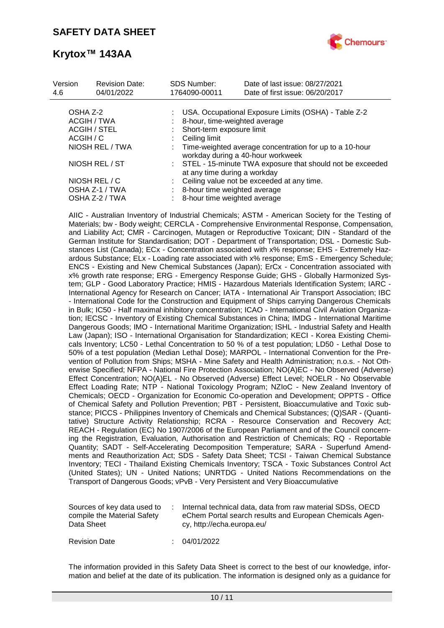

| Version<br>4.6 | <b>Revision Date:</b><br>04/01/2022 | <b>SDS Number:</b><br>1764090-00011 | Date of last issue: 08/27/2021<br>Date of first issue: 06/20/2017                            |
|----------------|-------------------------------------|-------------------------------------|----------------------------------------------------------------------------------------------|
| OSHA Z-2       |                                     |                                     | USA. Occupational Exposure Limits (OSHA) - Table Z-2                                         |
|                | ACGIH / TWA                         |                                     | 8-hour, time-weighted average                                                                |
|                | ACGIH / STEL                        |                                     | Short-term exposure limit                                                                    |
| ACGIH / C      |                                     | Ceiling limit                       |                                                                                              |
|                | NIOSH REL / TWA                     |                                     | Time-weighted average concentration for up to a 10-hour<br>workday during a 40-hour workweek |
|                | NIOSH REL / ST                      |                                     | : STEL - 15-minute TWA exposure that should not be exceeded<br>at any time during a workday  |
|                | NIOSH REL / C                       |                                     | Ceiling value not be exceeded at any time.                                                   |
|                | OSHA Z-1 / TWA                      |                                     | 8-hour time weighted average                                                                 |
|                | OSHA Z-2 / TWA                      |                                     | 8-hour time weighted average                                                                 |

AIIC - Australian Inventory of Industrial Chemicals; ASTM - American Society for the Testing of Materials; bw - Body weight; CERCLA - Comprehensive Environmental Response, Compensation, and Liability Act; CMR - Carcinogen, Mutagen or Reproductive Toxicant; DIN - Standard of the German Institute for Standardisation; DOT - Department of Transportation; DSL - Domestic Substances List (Canada); ECx - Concentration associated with x% response; EHS - Extremely Hazardous Substance; ELx - Loading rate associated with x% response; EmS - Emergency Schedule; ENCS - Existing and New Chemical Substances (Japan); ErCx - Concentration associated with x% growth rate response; ERG - Emergency Response Guide; GHS - Globally Harmonized System; GLP - Good Laboratory Practice; HMIS - Hazardous Materials Identification System; IARC - International Agency for Research on Cancer; IATA - International Air Transport Association; IBC - International Code for the Construction and Equipment of Ships carrying Dangerous Chemicals in Bulk; IC50 - Half maximal inhibitory concentration; ICAO - International Civil Aviation Organization; IECSC - Inventory of Existing Chemical Substances in China; IMDG - International Maritime Dangerous Goods; IMO - International Maritime Organization; ISHL - Industrial Safety and Health Law (Japan); ISO - International Organisation for Standardization; KECI - Korea Existing Chemicals Inventory; LC50 - Lethal Concentration to 50 % of a test population; LD50 - Lethal Dose to 50% of a test population (Median Lethal Dose); MARPOL - International Convention for the Prevention of Pollution from Ships; MSHA - Mine Safety and Health Administration; n.o.s. - Not Otherwise Specified; NFPA - National Fire Protection Association; NO(A)EC - No Observed (Adverse) Effect Concentration; NO(A)EL - No Observed (Adverse) Effect Level; NOELR - No Observable Effect Loading Rate; NTP - National Toxicology Program; NZIoC - New Zealand Inventory of Chemicals; OECD - Organization for Economic Co-operation and Development; OPPTS - Office of Chemical Safety and Pollution Prevention; PBT - Persistent, Bioaccumulative and Toxic substance; PICCS - Philippines Inventory of Chemicals and Chemical Substances; (Q)SAR - (Quantitative) Structure Activity Relationship; RCRA - Resource Conservation and Recovery Act; REACH - Regulation (EC) No 1907/2006 of the European Parliament and of the Council concerning the Registration, Evaluation, Authorisation and Restriction of Chemicals; RQ - Reportable Quantity; SADT - Self-Accelerating Decomposition Temperature; SARA - Superfund Amendments and Reauthorization Act; SDS - Safety Data Sheet; TCSI - Taiwan Chemical Substance Inventory; TECI - Thailand Existing Chemicals Inventory; TSCA - Toxic Substances Control Act (United States); UN - United Nations; UNRTDG - United Nations Recommendations on the Transport of Dangerous Goods; vPvB - Very Persistent and Very Bioaccumulative

| compile the Material Safety<br>Data Sheet<br>cy, http://echa.europa.eu/ | Sources of key data used to |  | Internal technical data, data from raw material SDSs, OECD<br>eChem Portal search results and European Chemicals Agen- |
|-------------------------------------------------------------------------|-----------------------------|--|------------------------------------------------------------------------------------------------------------------------|
|-------------------------------------------------------------------------|-----------------------------|--|------------------------------------------------------------------------------------------------------------------------|

Revision Date : 04/01/2022

The information provided in this Safety Data Sheet is correct to the best of our knowledge, information and belief at the date of its publication. The information is designed only as a guidance for